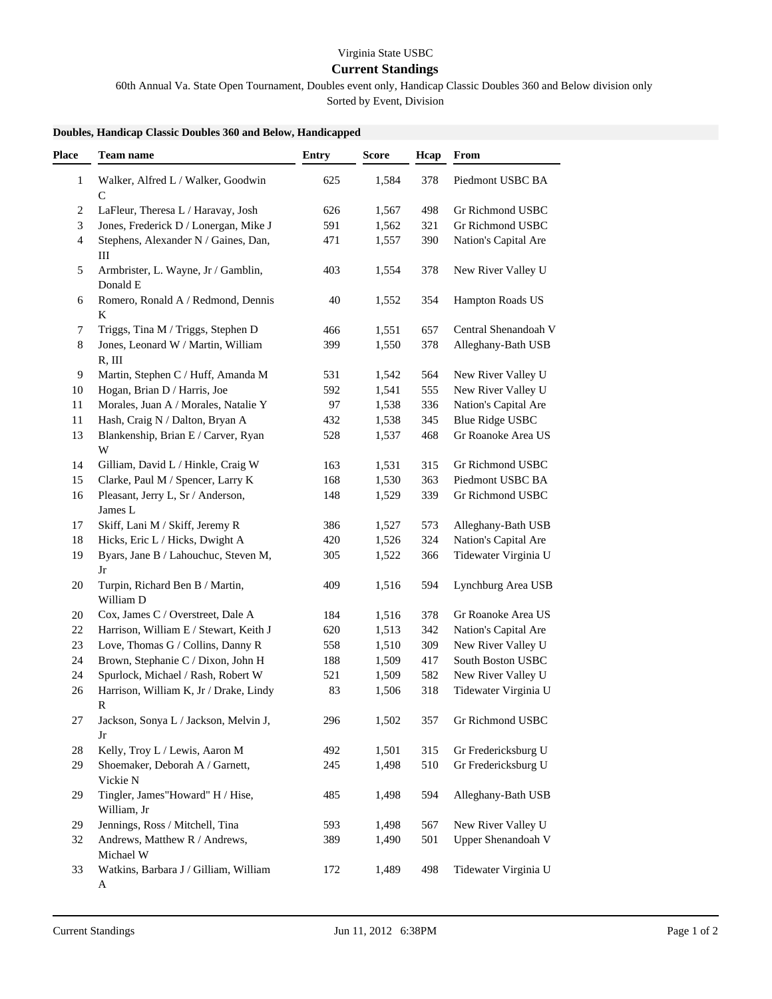## Virginia State USBC

## **Current Standings**

60th Annual Va. State Open Tournament, Doubles event only, Handicap Classic Doubles 360 and Below division only

Sorted by Event, Division

|--|

| Place        | <b>Team name</b>                                | <b>Entry</b> | <b>Score</b> | Hcap | From                   |
|--------------|-------------------------------------------------|--------------|--------------|------|------------------------|
| $\mathbf{1}$ | Walker, Alfred L / Walker, Goodwin              | 625          | 1,584        | 378  | Piedmont USBC BA       |
|              | $\mathcal{C}$                                   |              |              |      |                        |
| 2            | LaFleur, Theresa L / Haravay, Josh              | 626          | 1,567        | 498  | Gr Richmond USBC       |
| 3            | Jones, Frederick D / Lonergan, Mike J           | 591          | 1,562        | 321  | Gr Richmond USBC       |
| 4            | Stephens, Alexander N / Gaines, Dan,<br>III     | 471          | 1,557        | 390  | Nation's Capital Are   |
| 5            | Armbrister, L. Wayne, Jr / Gamblin,<br>Donald E | 403          | 1,554        | 378  | New River Valley U     |
| 6            | Romero, Ronald A / Redmond, Dennis<br>$\bf K$   | 40           | 1,552        | 354  | Hampton Roads US       |
| 7            | Triggs, Tina M / Triggs, Stephen D              | 466          | 1,551        | 657  | Central Shenandoah V   |
| 8            | Jones, Leonard W / Martin, William              | 399          | 1,550        | 378  | Alleghany-Bath USB     |
| 9            | R, III<br>Martin, Stephen C / Huff, Amanda M    | 531          | 1,542        | 564  | New River Valley U     |
| 10           | Hogan, Brian D / Harris, Joe                    | 592          | 1,541        | 555  | New River Valley U     |
| 11           | Morales, Juan A / Morales, Natalie Y            | 97           | 1,538        | 336  | Nation's Capital Are   |
| 11           | Hash, Craig N / Dalton, Bryan A                 | 432          | 1,538        | 345  | <b>Blue Ridge USBC</b> |
| 13           | Blankenship, Brian E / Carver, Ryan             | 528          | 1,537        | 468  | Gr Roanoke Area US     |
|              | $\ensuremath{\text{W}}$                         |              |              |      |                        |
| 14           | Gilliam, David L / Hinkle, Craig W              | 163          | 1,531        | 315  | Gr Richmond USBC       |
| 15           | Clarke, Paul M / Spencer, Larry K               | 168          | 1,530        | 363  | Piedmont USBC BA       |
| 16           | Pleasant, Jerry L, Sr / Anderson,<br>James L    | 148          | 1,529        | 339  | Gr Richmond USBC       |
| 17           | Skiff, Lani M / Skiff, Jeremy R                 | 386          | 1,527        | 573  | Alleghany-Bath USB     |
| 18           | Hicks, Eric L / Hicks, Dwight A                 | 420          | 1,526        | 324  | Nation's Capital Are   |
| 19           | Byars, Jane B / Lahouchuc, Steven M,            | 305          | 1,522        | 366  | Tidewater Virginia U   |
|              | Jr                                              |              |              |      |                        |
| 20           | Turpin, Richard Ben B / Martin,<br>William D    | 409          | 1,516        | 594  | Lynchburg Area USB     |
| 20           | Cox, James C / Overstreet, Dale A               | 184          | 1,516        | 378  | Gr Roanoke Area US     |
| 22           | Harrison, William E / Stewart, Keith J          | 620          | 1,513        | 342  | Nation's Capital Are   |
| 23           | Love, Thomas G / Collins, Danny R               | 558          | 1,510        | 309  | New River Valley U     |
| 24           | Brown, Stephanie C / Dixon, John H              | 188          | 1,509        | 417  | South Boston USBC      |
| 24           | Spurlock, Michael / Rash, Robert W              | 521          | 1,509        | 582  | New River Valley U     |
| 26           | Harrison, William K, Jr / Drake, Lindy<br>R     | 83           | 1,506        | 318  | Tidewater Virginia U   |
| 27           | Jackson, Sonya L / Jackson, Melvin J,<br>Jr     | 296          | 1,502        | 357  | Gr Richmond USBC       |
| 28           | Kelly, Troy L / Lewis, Aaron M                  | 492          | 1,501        | 315  | Gr Fredericksburg U    |
| 29           | Shoemaker, Deborah A / Garnett,<br>Vickie N     | 245          | 1,498        | 510  | Gr Fredericksburg U    |
| 29           | Tingler, James"Howard" H / Hise,<br>William, Jr | 485          | 1,498        | 594  | Alleghany-Bath USB     |
| 29           | Jennings, Ross / Mitchell, Tina                 | 593          | 1,498        | 567  | New River Valley U     |
| 32           | Andrews, Matthew R / Andrews,<br>Michael W      | 389          | 1,490        | 501  | Upper Shenandoah V     |
| 33           | Watkins, Barbara J / Gilliam, William<br>A      | 172          | 1,489        | 498  | Tidewater Virginia U   |